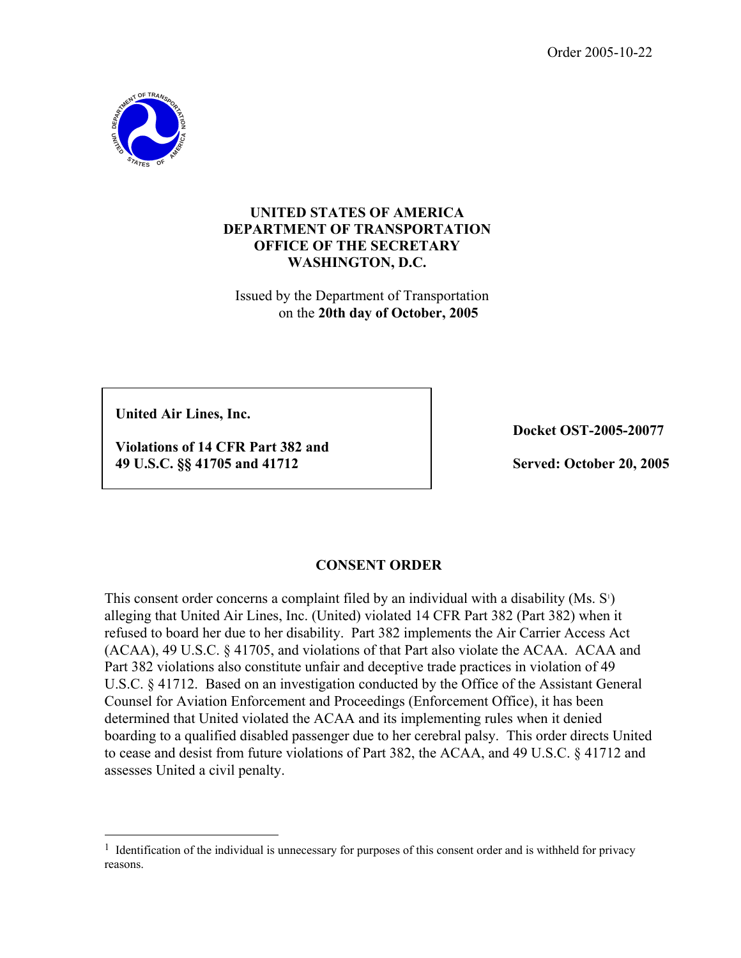Order 2005-10-22



## **UNITED STATES OF AMERICA DEPARTMENT OF TRANSPORTATION OFFICE OF THE SECRETARY WASHINGTON, D.C.**

Issued by the Department of Transportation on the **20th day of October, 2005** 

**United Air Lines, Inc.**

 $\overline{a}$ 

**Violations of 14 CFR Part 382 and 49 U.S.C. §§ 41705 and 41712** 

**Docket OST-2005-20077**

**Served: October 20, 2005** 

## **CONSENT ORDER**

This consent order concerns a complaint filed by an individual with a disability  $(Ms. S<sup>T</sup>)$ alleging that United Air Lines, Inc. (United) violated 14 CFR Part 382 (Part 382) when it refused to board her due to her disability. Part 382 implements the Air Carrier Access Act (ACAA), 49 U.S.C. § 41705, and violations of that Part also violate the ACAA. ACAA and Part 382 violations also constitute unfair and deceptive trade practices in violation of 49 U.S.C. § 41712. Based on an investigation conducted by the Office of the Assistant General Counsel for Aviation Enforcement and Proceedings (Enforcement Office), it has been determined that United violated the ACAA and its implementing rules when it denied boarding to a qualified disabled passenger due to her cerebral palsy. This order directs United to cease and desist from future violations of Part 382, the ACAA, and 49 U.S.C. § 41712 and assesses United a civil penalty.

<sup>&</sup>lt;sup>1</sup> Identification of the individual is unnecessary for purposes of this consent order and is withheld for privacy reasons.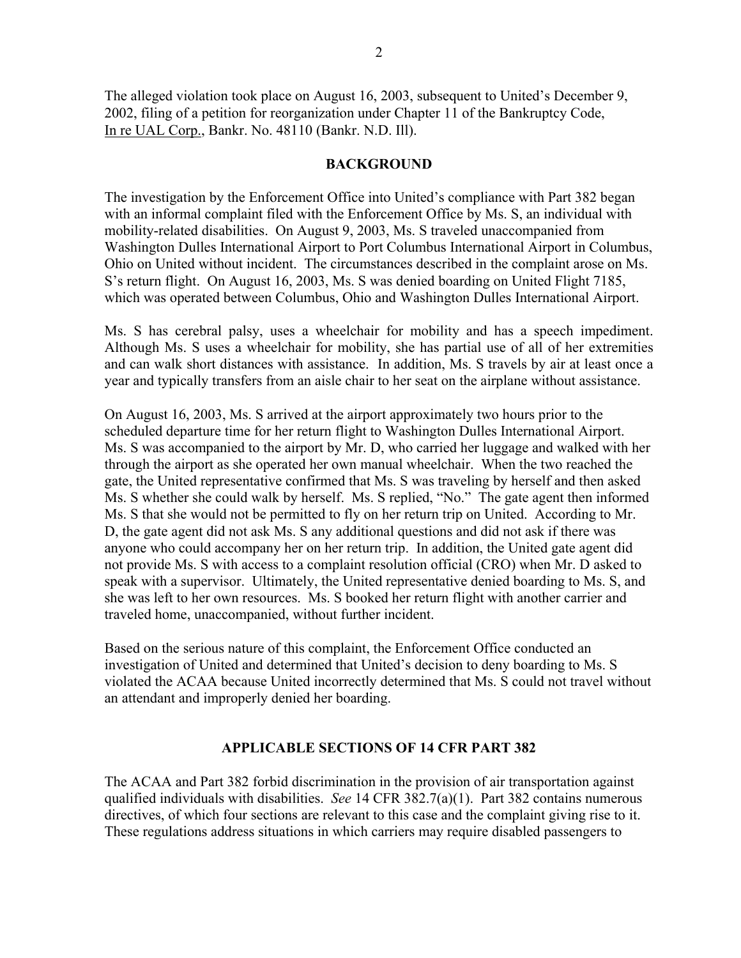The alleged violation took place on August 16, 2003, subsequent to United's December 9, 2002, filing of a petition for reorganization under Chapter 11 of the Bankruptcy Code, In re UAL Corp., Bankr. No. 48110 (Bankr. N.D. Ill).

#### **BACKGROUND**

The investigation by the Enforcement Office into United's compliance with Part 382 began with an informal complaint filed with the Enforcement Office by Ms. S, an individual with mobility-related disabilities. On August 9, 2003, Ms. S traveled unaccompanied from Washington Dulles International Airport to Port Columbus International Airport in Columbus, Ohio on United without incident. The circumstances described in the complaint arose on Ms. S's return flight. On August 16, 2003, Ms. S was denied boarding on United Flight 7185, which was operated between Columbus, Ohio and Washington Dulles International Airport.

Ms. S has cerebral palsy, uses a wheelchair for mobility and has a speech impediment. Although Ms. S uses a wheelchair for mobility, she has partial use of all of her extremities and can walk short distances with assistance. In addition, Ms. S travels by air at least once a year and typically transfers from an aisle chair to her seat on the airplane without assistance.

On August 16, 2003, Ms. S arrived at the airport approximately two hours prior to the scheduled departure time for her return flight to Washington Dulles International Airport. Ms. S was accompanied to the airport by Mr. D, who carried her luggage and walked with her through the airport as she operated her own manual wheelchair. When the two reached the gate, the United representative confirmed that Ms. S was traveling by herself and then asked Ms. S whether she could walk by herself. Ms. S replied, "No." The gate agent then informed Ms. S that she would not be permitted to fly on her return trip on United. According to Mr. D, the gate agent did not ask Ms. S any additional questions and did not ask if there was anyone who could accompany her on her return trip. In addition, the United gate agent did not provide Ms. S with access to a complaint resolution official (CRO) when Mr. D asked to speak with a supervisor. Ultimately, the United representative denied boarding to Ms. S, and she was left to her own resources. Ms. S booked her return flight with another carrier and traveled home, unaccompanied, without further incident.

Based on the serious nature of this complaint, the Enforcement Office conducted an investigation of United and determined that United's decision to deny boarding to Ms. S violated the ACAA because United incorrectly determined that Ms. S could not travel without an attendant and improperly denied her boarding.

#### **APPLICABLE SECTIONS OF 14 CFR PART 382**

The ACAA and Part 382 forbid discrimination in the provision of air transportation against qualified individuals with disabilities. *See* 14 CFR 382.7(a)(1). Part 382 contains numerous directives, of which four sections are relevant to this case and the complaint giving rise to it. These regulations address situations in which carriers may require disabled passengers to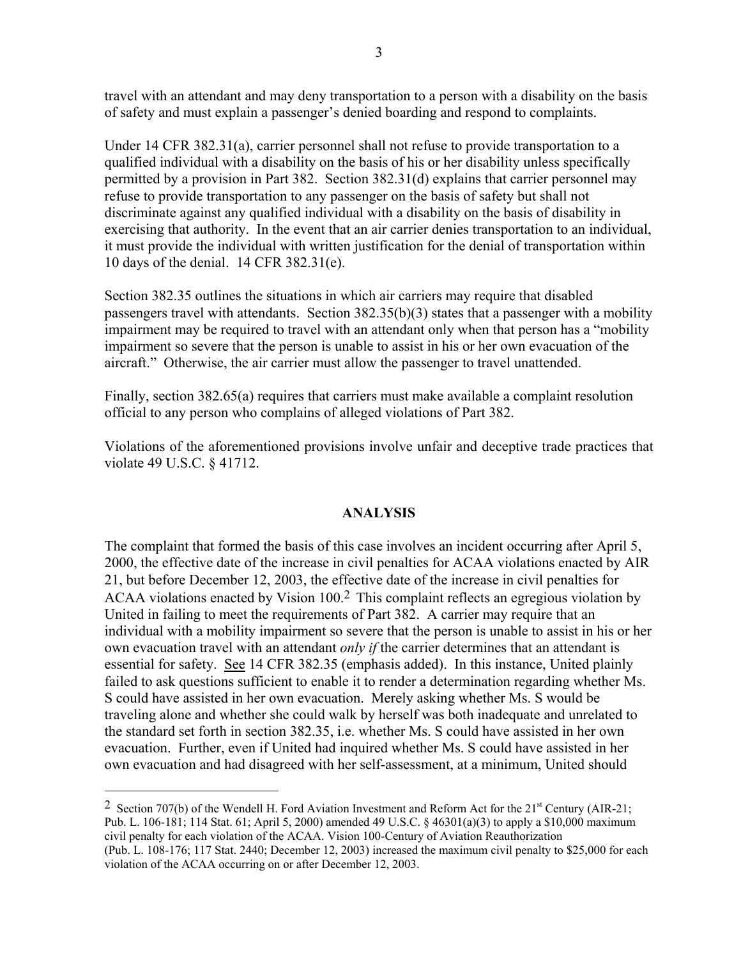travel with an attendant and may deny transportation to a person with a disability on the basis of safety and must explain a passenger's denied boarding and respond to complaints.

Under 14 CFR 382.31(a), carrier personnel shall not refuse to provide transportation to a qualified individual with a disability on the basis of his or her disability unless specifically permitted by a provision in Part 382. Section 382.31(d) explains that carrier personnel may refuse to provide transportation to any passenger on the basis of safety but shall not discriminate against any qualified individual with a disability on the basis of disability in exercising that authority. In the event that an air carrier denies transportation to an individual, it must provide the individual with written justification for the denial of transportation within 10 days of the denial. 14 CFR 382.31(e).

Section 382.35 outlines the situations in which air carriers may require that disabled passengers travel with attendants. Section 382.35(b)(3) states that a passenger with a mobility impairment may be required to travel with an attendant only when that person has a "mobility impairment so severe that the person is unable to assist in his or her own evacuation of the aircraft." Otherwise, the air carrier must allow the passenger to travel unattended.

Finally, section 382.65(a) requires that carriers must make available a complaint resolution official to any person who complains of alleged violations of Part 382.

Violations of the aforementioned provisions involve unfair and deceptive trade practices that violate 49 U.S.C. § 41712.

#### **ANALYSIS**

ACAA violations enacted by Vision 100.<sup>2</sup> This complaint reflects an egregious violation by The complaint that formed the basis of this case involves an incident occurring after April 5, 2000, the effective date of the increase in civil penalties for ACAA violations enacted by AIR 21, but before December 12, 2003, the effective date of the increase in civil penalties for United in failing to meet the requirements of Part 382. A carrier may require that an individual with a mobility impairment so severe that the person is unable to assist in his or her own evacuation travel with an attendant *only if* the carrier determines that an attendant is essential for safety. See 14 CFR 382.35 (emphasis added). In this instance, United plainly failed to ask questions sufficient to enable it to render a determination regarding whether Ms. S could have assisted in her own evacuation. Merely asking whether Ms. S would be traveling alone and whether she could walk by herself was both inadequate and unrelated to the standard set forth in section 382.35, i.e. whether Ms. S could have assisted in her own evacuation. Further, even if United had inquired whether Ms. S could have assisted in her own evacuation and had disagreed with her self-assessment, at a minimum, United should

 $\overline{a}$ 

<sup>&</sup>lt;sup>2</sup> Section 707(b) of the Wendell H. Ford Aviation Investment and Reform Act for the  $21<sup>st</sup>$  Century (AIR-21; Pub. L. 106-181; 114 Stat. 61; April 5, 2000) amended 49 U.S.C. § 46301(a)(3) to apply a \$10,000 maximum civil penalty for each violation of the ACAA. Vision 100-Century of Aviation Reauthorization (Pub. L. 108-176; 117 Stat. 2440; December 12, 2003) increased the maximum civil penalty to \$25,000 for each violation of the ACAA occurring on or after December 12, 2003.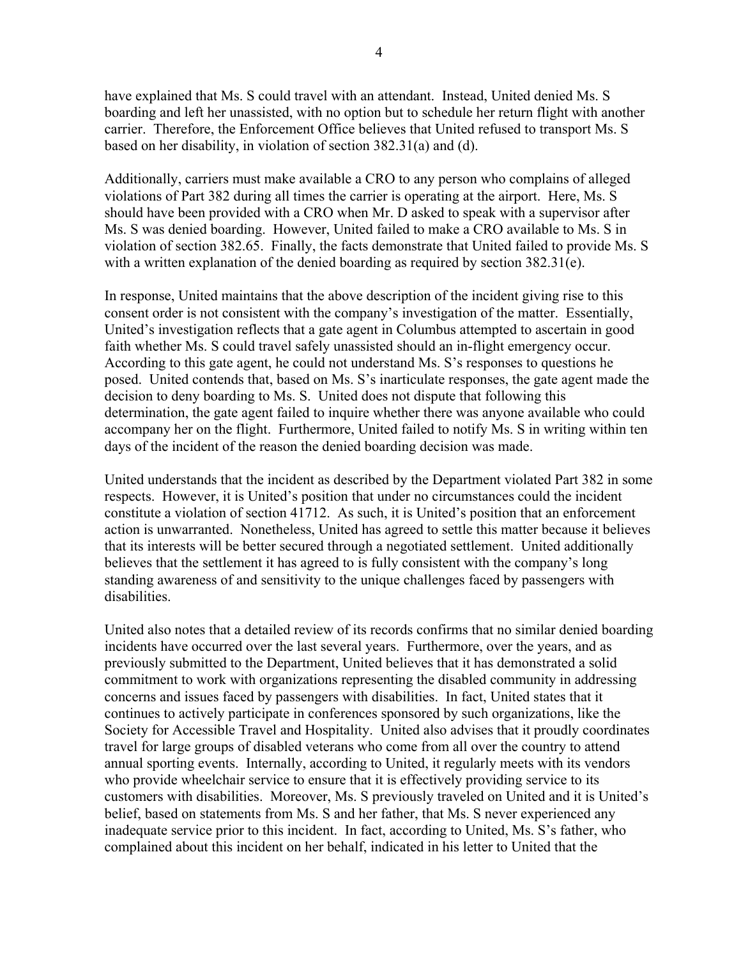have explained that Ms. S could travel with an attendant. Instead, United denied Ms. S boarding and left her unassisted, with no option but to schedule her return flight with another carrier. Therefore, the Enforcement Office believes that United refused to transport Ms. S based on her disability, in violation of section 382.31(a) and (d).

Additionally, carriers must make available a CRO to any person who complains of alleged violations of Part 382 during all times the carrier is operating at the airport. Here, Ms. S should have been provided with a CRO when Mr. D asked to speak with a supervisor after Ms. S was denied boarding. However, United failed to make a CRO available to Ms. S in violation of section 382.65. Finally, the facts demonstrate that United failed to provide Ms. S with a written explanation of the denied boarding as required by section 382.31(e).

In response, United maintains that the above description of the incident giving rise to this consent order is not consistent with the company's investigation of the matter. Essentially, United's investigation reflects that a gate agent in Columbus attempted to ascertain in good faith whether Ms. S could travel safely unassisted should an in-flight emergency occur. According to this gate agent, he could not understand Ms. S's responses to questions he posed. United contends that, based on Ms. S's inarticulate responses, the gate agent made the decision to deny boarding to Ms. S. United does not dispute that following this determination, the gate agent failed to inquire whether there was anyone available who could accompany her on the flight. Furthermore, United failed to notify Ms. S in writing within ten days of the incident of the reason the denied boarding decision was made.

United understands that the incident as described by the Department violated Part 382 in some respects. However, it is United's position that under no circumstances could the incident constitute a violation of section 41712. As such, it is United's position that an enforcement action is unwarranted. Nonetheless, United has agreed to settle this matter because it believes that its interests will be better secured through a negotiated settlement. United additionally believes that the settlement it has agreed to is fully consistent with the company's long standing awareness of and sensitivity to the unique challenges faced by passengers with disabilities.

United also notes that a detailed review of its records confirms that no similar denied boarding incidents have occurred over the last several years. Furthermore, over the years, and as previously submitted to the Department, United believes that it has demonstrated a solid commitment to work with organizations representing the disabled community in addressing concerns and issues faced by passengers with disabilities. In fact, United states that it continues to actively participate in conferences sponsored by such organizations, like the Society for Accessible Travel and Hospitality. United also advises that it proudly coordinates travel for large groups of disabled veterans who come from all over the country to attend annual sporting events. Internally, according to United, it regularly meets with its vendors who provide wheelchair service to ensure that it is effectively providing service to its customers with disabilities. Moreover, Ms. S previously traveled on United and it is United's belief, based on statements from Ms. S and her father, that Ms. S never experienced any inadequate service prior to this incident. In fact, according to United, Ms. S's father, who complained about this incident on her behalf, indicated in his letter to United that the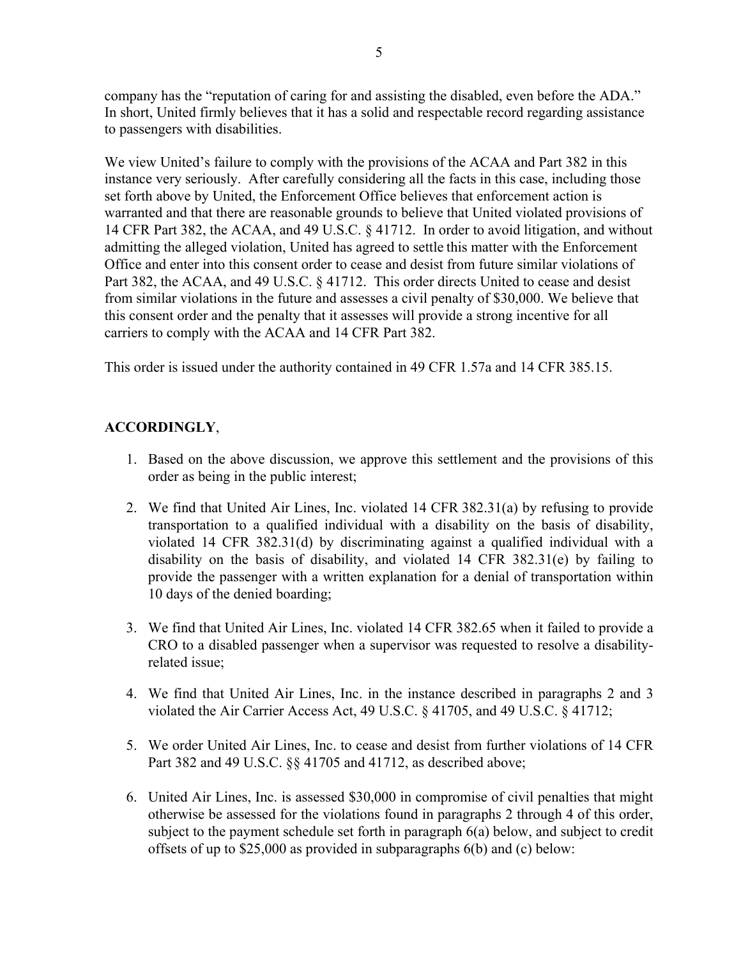company has the "reputation of caring for and assisting the disabled, even before the ADA." In short, United firmly believes that it has a solid and respectable record regarding assistance to passengers with disabilities.

We view United's failure to comply with the provisions of the ACAA and Part 382 in this instance very seriously. After carefully considering all the facts in this case, including those set forth above by United, the Enforcement Office believes that enforcement action is warranted and that there are reasonable grounds to believe that United violated provisions of 14 CFR Part 382, the ACAA, and 49 U.S.C. § 41712. In order to avoid litigation, and without admitting the alleged violation, United has agreed to settle this matter with the Enforcement Office and enter into this consent order to cease and desist from future similar violations of Part 382, the ACAA, and 49 U.S.C. § 41712. This order directs United to cease and desist from similar violations in the future and assesses a civil penalty of \$30,000. We believe that this consent order and the penalty that it assesses will provide a strong incentive for all carriers to comply with the ACAA and 14 CFR Part 382.

This order is issued under the authority contained in 49 CFR 1.57a and 14 CFR 385.15.

# **ACCORDINGLY**,

- 1. Based on the above discussion, we approve this settlement and the provisions of this order as being in the public interest;
- 2. We find that United Air Lines, Inc. violated 14 CFR 382.31(a) by refusing to provide transportation to a qualified individual with a disability on the basis of disability, violated 14 CFR 382.31(d) by discriminating against a qualified individual with a disability on the basis of disability, and violated 14 CFR 382.31(e) by failing to provide the passenger with a written explanation for a denial of transportation within 10 days of the denied boarding;
- related issue: 3. We find that United Air Lines, Inc. violated 14 CFR 382.65 when it failed to provide a CRO to a disabled passenger when a supervisor was requested to resolve a disability-
- 4. We find that United Air Lines, Inc. in the instance described in paragraphs 2 and 3 violated the Air Carrier Access Act, 49 U.S.C. § 41705, and 49 U.S.C. § 41712;
- 5. We order United Air Lines, Inc. to cease and desist from further violations of 14 CFR Part 382 and 49 U.S.C. §§ 41705 and 41712, as described above;
- 6. United Air Lines, Inc. is assessed \$30,000 in compromise of civil penalties that might otherwise be assessed for the violations found in paragraphs 2 through 4 of this order, subject to the payment schedule set forth in paragraph 6(a) below, and subject to credit offsets of up to \$25,000 as provided in subparagraphs 6(b) and (c) below: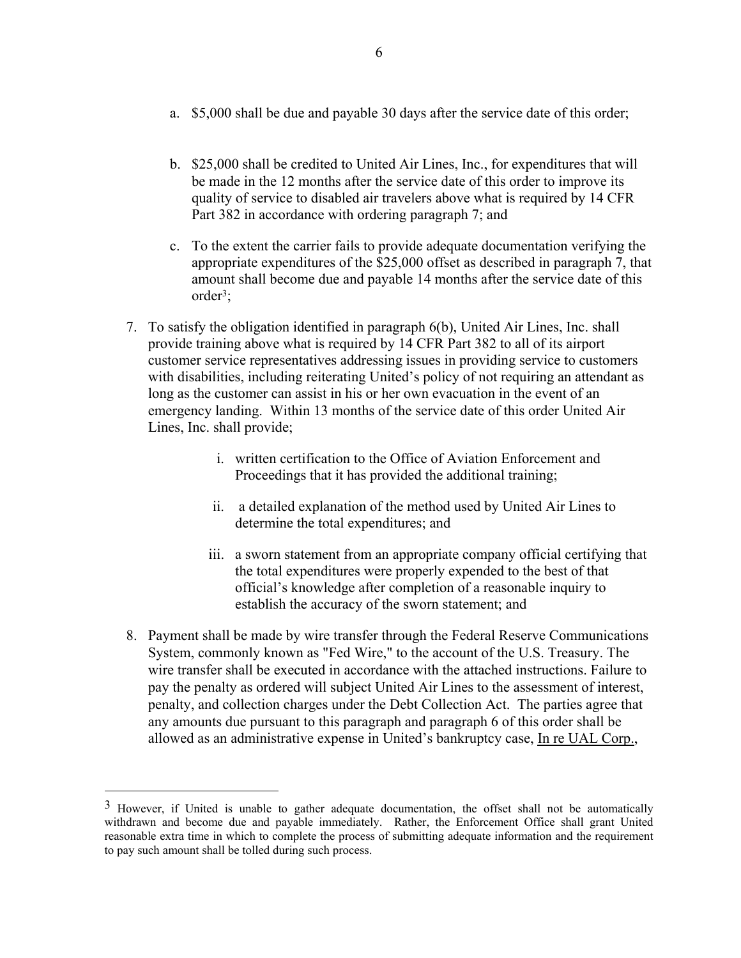- a. \$5,000 shall be due and payable 30 days after the service date of this order;
- b. \$25,000 shall be credited to United Air Lines, Inc., for expenditures that will be made in the 12 months after the service date of this order to improve its quality of service to disabled air travelers above what is required by 14 CFR Part 382 in accordance with ordering paragraph 7; and
- c. To the extent the carrier fails to provide adequate documentation verifying the appropriate expenditures of the \$25,000 offset as described in paragraph 7, that amount shall become due and payable 14 months after the service date of this order3;
- 7. To satisfy the obligation identified in paragraph 6(b), United Air Lines, Inc. shall provide training above what is required by 14 CFR Part 382 to all of its airport customer service representatives addressing issues in providing service to customers with disabilities, including reiterating United's policy of not requiring an attendant as long as the customer can assist in his or her own evacuation in the event of an emergency landing. Within 13 months of the service date of this order United Air Lines, Inc. shall provide;
	- i. written certification to the Office of Aviation Enforcement and Proceedings that it has provided the additional training;
	- ii. a detailed explanation of the method used by United Air Lines to determine the total expenditures; and
	- iii. a sworn statement from an appropriate company official certifying that the total expenditures were properly expended to the best of that official's knowledge after completion of a reasonable inquiry to establish the accuracy of the sworn statement; and
- 8. Payment shall be made by wire transfer through the Federal Reserve Communications System, commonly known as "Fed Wire," to the account of the U.S. Treasury. The wire transfer shall be executed in accordance with the attached instructions. Failure to pay the penalty as ordered will subject United Air Lines to the assessment of interest, penalty, and collection charges under the Debt Collection Act. The parties agree that any amounts due pursuant to this paragraph and paragraph 6 of this order shall be allowed as an administrative expense in United's bankruptcy case, In re UAL Corp.,

 $\overline{a}$ 

 to pay such amount shall be tolled during such process. <sup>3</sup> However, if United is unable to gather adequate documentation, the offset shall not be automatically withdrawn and become due and payable immediately. Rather, the Enforcement Office shall grant United reasonable extra time in which to complete the process of submitting adequate information and the requirement